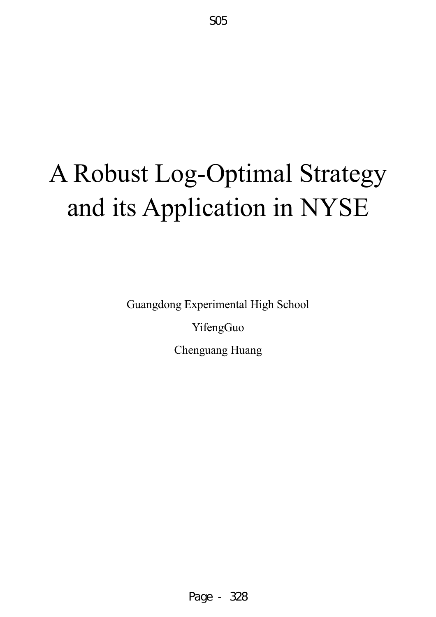# A Robust Log-Optimal Strategy and its Application in NYSE

Guangdong Experimental High School

YifengGuo

Chenguang Huang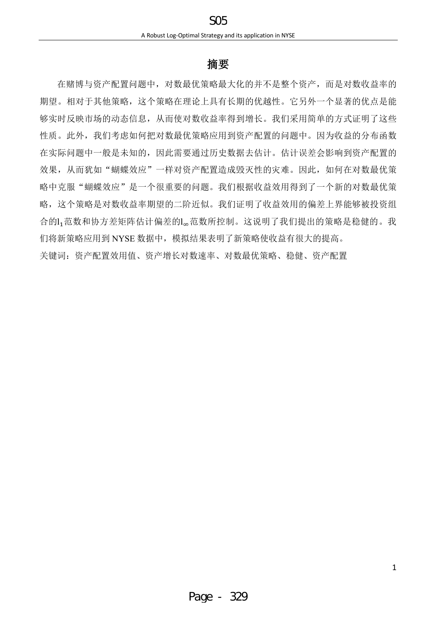# **摘要**

在赌博与资产配置问题中,对数最优策略最大化的并不是整个资产,而是对数收益率的 期望。相对于其他策略,这个策略在理论上具有长期的优越性。它另外一个显著的优点是能 够实时反映市场的动态信息,从而使对数收益率得到增长。我们采用简单的方式证明了这些 性质。此外,我们考虑如何把对数最优策略应用到资产配置的问题中。因为收益的分布函数 在实际问题中一般是未知的,因此需要通过历史数据去估计。估计误差会影响到资产配置的 效果,从而犹如"蝴蝶效应"一样对资产配置造成毁灭性的灾难。因此,如何在对数最优策 略中克服"蝴蝶效应"是一个很重要的问题。我们根据收益效用得到了一个新的对数最优策 略,这个策略是对数收益率期望的二阶近似。我们证明了收益效用的偏差上界能够被投资组 合的l,范数和协方差矩阵估计偏差的l。范数所控制。这说明了我们提出的策略是稳健的。我 们将新策略应用到 NYSE 数据中,模拟结果表明了新策略使收益有很大的提高。 关键词:资产配置效用值、资产增长对数速率、对数最优策略、稳健、资产配置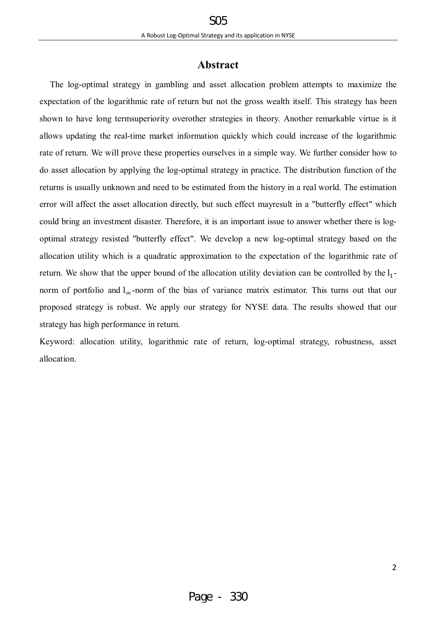# **Abstract**

The log-optimal strategy in gambling and asset allocation problem attempts to maximize the expectation of the logarithmic rate of return but not the gross wealth itself. This strategy has been shown to have long termsuperiority overother strategies in theory. Another remarkable virtue is it allows updating the real-time market information quickly which could increase of the logarithmic rate of return. We will prove these properties ourselves in a simple way. We further consider how to do asset allocation by applying the log-optimal strategy in practice. The distribution function of the returns is usually unknown and need to be estimated from the history in a real world. The estimation error will affect the asset allocation directly, but such effect mayresult in a "butterfly effect" which could bring an investment disaster. Therefore, it is an important issue to answer whether there is logoptimal strategy resisted "butterfly effect". We develop a new log-optimal strategy based on the allocation utility which is a quadratic approximation to the expectation of the logarithmic rate of return. We show that the upper bound of the allocation utility deviation can be controlled by the  $l_1$ norm of portfolio and  $l_{\infty}$ -norm of the bias of variance matrix estimator. This turns out that our proposed strategy is robust. We apply our strategy for NYSE data. The results showed that our strategy has high performance in return.

Keyword: allocation utility, logarithmic rate of return, log-optimal strategy, robustness, asset allocation.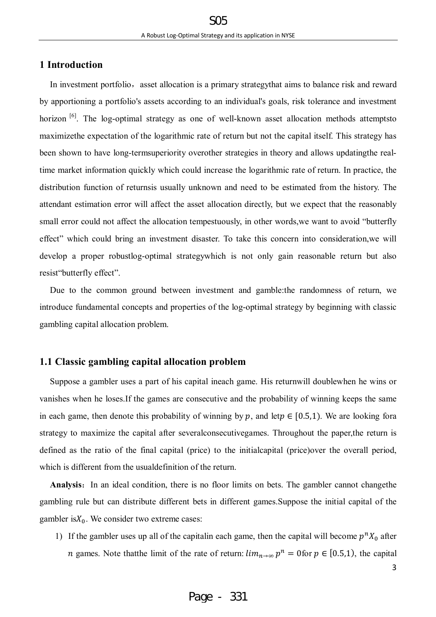# **1 Introduction**

In investment portfolio, asset allocation is a primary strategy that aims to balance risk and reward by apportioning a portfolio's assets according to an individual's goals, risk tolerance and investment horizon <sup>[6]</sup>. The log-optimal strategy as one of well-known asset allocation methods attemptsto maximizethe expectation of the logarithmic rate of return but not the capital itself. This strategy has been shown to have long-termsuperiority overother strategies in theory and allows updatingthe realtime market information quickly which could increase the logarithmic rate of return. In practice, the distribution function of returnsis usually unknown and need to be estimated from the history. The attendant estimation error will affect the asset allocation directly, but we expect that the reasonably small error could not affect the allocation tempestuously, in other words,we want to avoid "butterfly effect" which could bring an investment disaster. To take this concern into consideration,we will develop a proper robustlog-optimal strategywhich is not only gain reasonable return but also resist"butterfly effect".

Due to the common ground between investment and gamble:the randomness of return, we introduce fundamental concepts and properties of the log-optimal strategy by beginning with classic gambling capital allocation problem.

#### **1.1 Classic gambling capital allocation problem**

Suppose a gambler uses a part of his capital ineach game. His returnwill doublewhen he wins or vanishes when he loses.If the games are consecutive and the probability of winning keeps the same in each game, then denote this probability of winning by p, and let  $p \in [0.5,1)$ . We are looking fora strategy to maximize the capital after severalconsecutivegames. Throughout the paper,the return is defined as the ratio of the final capital (price) to the initialcapital (price)over the overall period, which is different from the usualdefinition of the return.

Analysis: In an ideal condition, there is no floor limits on bets. The gambler cannot changethe gambling rule but can distribute different bets in different games.Suppose the initial capital of the gambler is $X_0$ . We consider two extreme cases:

1) If the gambler uses up all of the capitalin each game, then the capital will become  $p^n X_0$  after *n* games. Note that the limit of the rate of return:  $\lim_{n\to\infty} p^n = 0$  for  $p \in [0.5,1)$ , the capital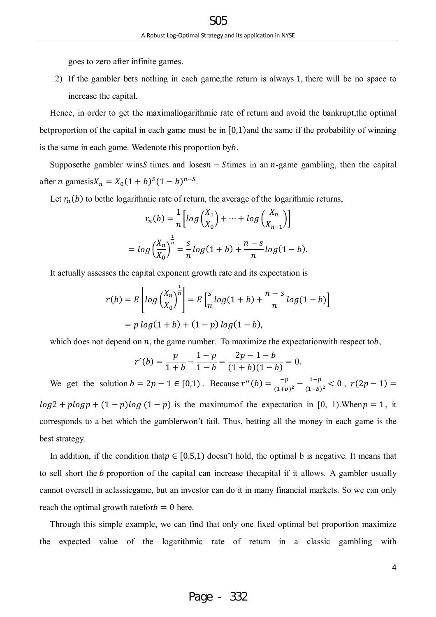goes to zero after infinite games.

2) If the gambler bets nothing in each game,the return is always 1, there will be no space to increase the capital.

Hence, in order to get the maximallogarithmic rate of return and avoid the bankrupt,the optimal betproportion of the capital in each game must be in [0,1)and the same if the probability of winning is the same in each game. Wedenote this proportion byb.

Supposethe gambler winsS times and loses  $n -$ Stimes in an  $n$ -game gambling, then the capital after *n* gamesis $X_n = X_0(1 + b)^s (1 - b)^{n - s}$ .

Let  $r_n(b)$  to bethe logarithmic rate of return, the average of the logarithmic returns,

$$
r_n(b) = \frac{1}{n} \left[ \log \left( \frac{X_1}{X_0} \right) + \dots + \log \left( \frac{X_n}{X_{n-1}} \right) \right]
$$

$$
= \log \left( \frac{X_n}{X_0} \right)^{\frac{1}{n}} = \frac{s}{n} \log(1+b) + \frac{n-s}{n} \log(1-b).
$$

It actually assesses the capital exponent growth rate and its expectation is

$$
r(b) = E\left[log\left(\frac{X_n}{X_0}\right)^{\frac{1}{n}}\right] = E\left[\frac{s}{n}log(1+b) + \frac{n-s}{n}log(1-b)\right]
$$
  
=  $p log(1+b) + (1-p) log(1-b)$ ,

which does not depend on  $n$ , the game number. To maximize the expectation with respect to  $b$ ,

$$
r'(b) = \frac{p}{1+b} - \frac{1-p}{1-b} = \frac{2p-1-b}{(1+b)(1-b)} = 0.
$$

We get the solution  $b = 2p - 1 \in [0,1)$ . Because  $r''(b) = \frac{-p}{(1+b)^2}$  $\frac{-p}{(1+b)^2} - \frac{1-p}{(1-b)}$  $\frac{1-p}{(1-b)^2}$  < 0,  $r(2p-1)$  =  $log 2 + p log p + (1 - p) log (1 - p)$  is the maximumof the expectation in [0, 1). When  $p = 1$ , it corresponds to a bet which the gamblerwon't fail. Thus, betting all the money in each game is the

best strategy.

In addition, if the condition that  $p \in [0.5,1]$  doesn't hold, the optimal b is negative. It means that to sell short the *b* proportion of the capital can increase the capital if it allows. A gambler usually cannot oversell in aclassicgame, but an investor can do it in many financial markets. So we can only reach the optimal growth ratefor  $b = 0$  here.

Through this simple example, we can find that only one fixed optimal bet proportion maximize the expected value of the logarithmic rate of return in a classic gambling with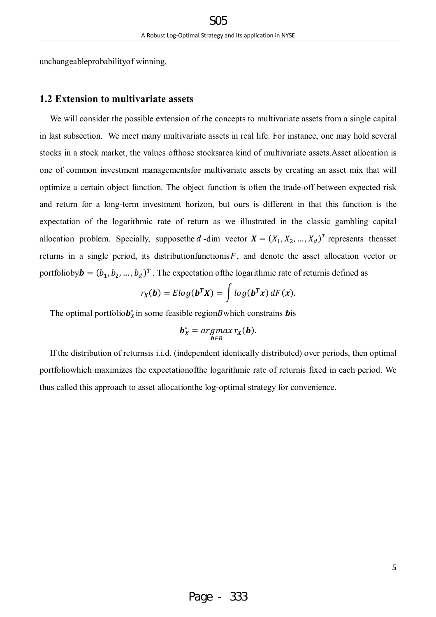unchangeableprobabilityof winning.

## **1.2 Extension to multivariate assets**

We will consider the possible extension of the concepts to multivariate assets from a single capital in last subsection. We meet many multivariate assets in real life. For instance, one may hold several stocks in a stock market, the values ofthose stocksarea kind of multivariate assets.Asset allocation is one of common investment managementsfor multivariate assets by creating an asset mix that will optimize a certain object function. The object function is often the trade-off between expected risk and return for a long-term investment horizon, but ours is different in that this function is the expectation of the logarithmic rate of return as we illustrated in the classic gambling capital allocation problem. Specially, supposethe d-dim vector  $\mathbf{X} = (X_1, X_2, ..., X_d)^T$  represents theasset returns in a single period, its distributionfunctionis $F$ , and denote the asset allocation vector or portfolioby  $\mathbf{b} = (b_1, b_2, ..., b_d)^T$ . The expectation of the logarithmic rate of return is defined as

$$
r_X(\mathbf{b}) = Elog(\mathbf{b}^T X) = \int log(\mathbf{b}^T x) dF(x).
$$

The optimal portfolio $b_x^*$  in some feasible region *B* which constrains **b** is

$$
\boldsymbol{b}_X^* = \underset{\boldsymbol{b}\in B}{argmax} \, r_X(\boldsymbol{b}).
$$

If the distribution of returnsis i.i.d. (independent identically distributed) over periods, then optimal portfoliowhich maximizes the expectationofthe logarithmic rate of returnis fixed in each period. We thus called this approach to asset allocationthe log-optimal strategy for convenience.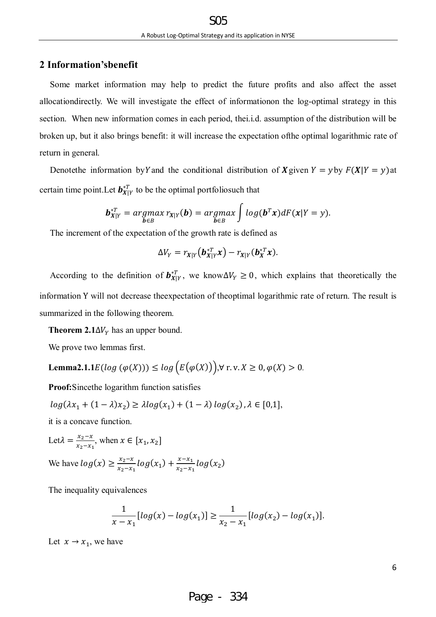# **2 Information'sbenefit**

Some market information may help to predict the future profits and also affect the asset allocationdirectly. We will investigate the effect of informationon the log-optimal strategy in this section. When new information comes in each period, thei.i.d. assumption of the distribution will be broken up, but it also brings benefit: it will increase the expectation ofthe optimal logarithmic rate of return in general.

Denotethe information by Y and the conditional distribution of X given  $Y = y$  by  $F(X|Y = y)$  at certain time point. Let  $b_{X|Y}^{*T}$  to be the optimal portfoliosuch that

$$
\boldsymbol{b}_{X|Y}^{*T} = \underset{\boldsymbol{b}\in B}{argmax} r_{X|Y}(\boldsymbol{b}) = \underset{\boldsymbol{b}\in B}{argmax} \int log(\boldsymbol{b}^T\boldsymbol{x}) dF(\boldsymbol{x}|Y=\boldsymbol{y}).
$$

The increment of the expectation of the growth rate is defined as

$$
\Delta V_Y = r_{X|Y}(\boldsymbol{b}_{X|Y}^{*T}\boldsymbol{x}) - r_{X|Y}(\boldsymbol{b}_X^{*T}\boldsymbol{x}).
$$

According to the definition of  $b_{X|Y}^{*T}$ , we know  $\Delta V_Y \ge 0$ , which explains that theoretically the information Y will not decrease theexpectation of theoptimal logarithmic rate of return. The result is summarized in the following theorem.

**Theorem 2.1** $\Delta V_Y$  has an upper bound.

We prove two lemmas first.

**Lemma2.1.1** 
$$
E(log (\varphi(X))) \le log (E(\varphi(X)))
$$
,  $\forall$  r. v.  $X \ge 0$ ,  $\varphi(X) > 0$ .

**Proof:**Sincethe logarithm function satisfies

$$
log(\lambda x_1 + (1 - \lambda)x_2) \ge \lambda log(x_1) + (1 - \lambda) log(x_2), \lambda \in [0,1],
$$

it is a concave function.

Let
$$
\lambda = \frac{x_2 - x}{x_2 - x_1}
$$
, when  $x \in [x_1, x_2]$ 

We have 
$$
log(x) \ge \frac{x_2 - x}{x_2 - x_1} log(x_1) + \frac{x - x_1}{x_2 - x_1} log(x_2)
$$

The inequality equivalences

$$
\frac{1}{x - x_1} [log(x) - log(x_1)] \ge \frac{1}{x_2 - x_1} [log(x_2) - log(x_1)].
$$

Let  $x \to x_1$ , we have

6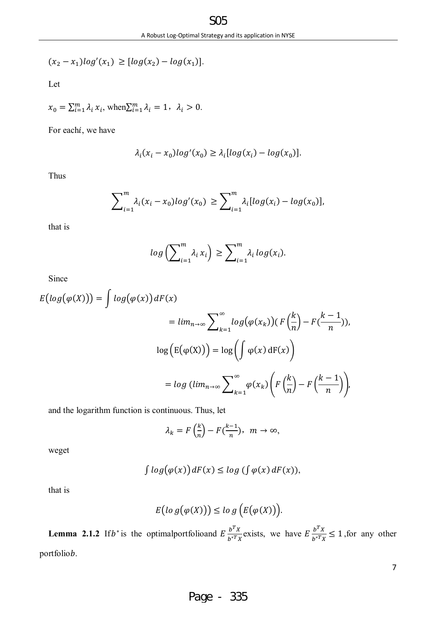$$
(x_2 - x_1) \log'(x_1) \geq [\log(x_2) - \log(x_1)].
$$

Let

$$
x_0 = \sum_{i=1}^m \lambda_i x_i, \text{ when } \sum_{i=1}^m \lambda_i = 1, \ \lambda_i > 0.
$$

For eachi, we have

$$
\lambda_i(x_i - x_0) \log'(x_0) \ge \lambda_i[\log(x_i) - \log(x_0)].
$$

Thus

$$
\sum_{i=1}^m \lambda_i (x_i - x_0) \log'(x_0) \ge \sum_{i=1}^m \lambda_i [\log(x_i) - \log(x_0)],
$$

that is

$$
log\left(\sum_{i=1}^m \lambda_i x_i\right) \ge \sum_{i=1}^m \lambda_i log(x_i).
$$

Since

$$
E\big(log(\varphi(X))\big) = \int log(\varphi(x)) dF(x)
$$
  
=  $lim_{n \to \infty} \sum_{k=1}^{\infty} log(\varphi(x_k)) \big(F\left(\frac{k}{n}\right) - F\left(\frac{k-1}{n}\right)\big),$   
 $log\big(E(\varphi(X))\big) = log\big(\int \varphi(x) dF(x)\big)$   
=  $log (lim_{n \to \infty} \sum_{k=1}^{\infty} \varphi(x_k) \bigg(F\left(\frac{k}{n}\right) - F\left(\frac{k-1}{n}\right)\bigg),$ 

and the logarithm function is continuous. Thus, let

$$
\lambda_k = F\left(\frac{k}{n}\right) - F\left(\frac{k-1}{n}\right), \ \ m \to \infty,
$$

weget

$$
\int \log(\varphi(x)) dF(x) \leq \log(\int \varphi(x) dF(x)),
$$

that is

$$
E\big( \log \big( \varphi(X) \big) \big) \leq \log \big( E\big( \varphi(X) \big) \big).
$$

**Lemma 2.1.2** If  $b^*$  is the optimal portfolioand  $E \frac{b^T X}{b^* T x}$  $\frac{b^T X}{b^{*T} X}$  exists, we have  $E \frac{b^T X}{b^{*T} X}$  $\frac{b}{b^{*T}x} \le 1$ , for any other portfoliob.

7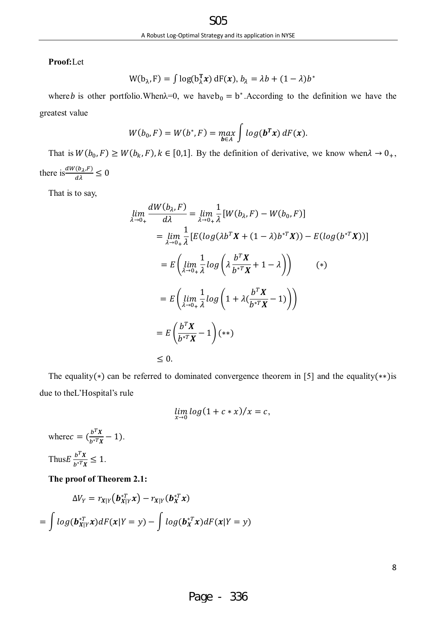**Proof:**Let

$$
W(b_{\lambda}, F) = \int \log(b_{\lambda}^{T} x) dF(x), b_{\lambda} = \lambda b + (1 - \lambda) b^{*}
$$

where *b* is other portfolio. When $\lambda=0$ , we have  $b_0 = b^*$ . According to the definition we have the greatest value

$$
W(b_0, F) = W(b^*, F) = \max_{\boldsymbol{b} \in A} \int \log(\boldsymbol{b}^T \boldsymbol{x}) dF(\boldsymbol{x}).
$$

That is  $W(b_0, F) \ge W(b_k, F)$ ,  $k \in [0,1]$ . By the definition of derivative, we know when  $\lambda \to 0_+$ , there is  $\frac{dW(b_\lambda, F)}{d\lambda} \leq 0$ 

That is to say,

$$
\lim_{\lambda \to 0_{+}} \frac{dW(b_{\lambda}, F)}{d\lambda} = \lim_{\lambda \to 0_{+}} \frac{1}{\lambda} [W(b_{\lambda}, F) - W(b_{0}, F)]
$$
  
\n
$$
= \lim_{\lambda \to 0_{+}} \frac{1}{\lambda} [E(log(\lambda b^{T}X + (1 - \lambda)b^{*T}X)) - E(log(b^{*T}X))]
$$
  
\n
$$
= E\left(\lim_{\lambda \to 0_{+}} \frac{1}{\lambda} log\left(\lambda \frac{b^{T}X}{b^{*T}X} + 1 - \lambda\right)\right) \qquad (*)
$$
  
\n
$$
= E\left(\lim_{\lambda \to 0_{+}} \frac{1}{\lambda} log\left(1 + \lambda \left(\frac{b^{T}X}{b^{*T}X} - 1\right)\right)\right)
$$
  
\n
$$
= E\left(\frac{b^{T}X}{b^{*T}X} - 1\right) (**)
$$
  
\n
$$
\leq 0.
$$

The equality(∗) can be referred to dominated convergence theorem in [5] and the equality(∗∗)is due to theL'Hospital's rule

$$
\lim_{x\to 0} \log(1+c*x)/x=c,
$$

where  $c = (\frac{b^T X}{b^T V})$  $\frac{\partial^2 X}{\partial x^*} - 1$ . Thus  $E \frac{b^T X}{b^T X}$  $\frac{v}{b^{*T}x} \leq 1.$ 

## **The proof of Theorem 2.1:**

$$
\Delta V_Y = r_{X|Y}(\boldsymbol{b}_{X|Y}^{*T}\boldsymbol{x}) - r_{X|Y}(\boldsymbol{b}_X^{*T}\boldsymbol{x})
$$

$$
= \int \log(\boldsymbol{b}_{X|Y}^{*T}\boldsymbol{x})dF(\boldsymbol{x}|Y=y) - \int \log(\boldsymbol{b}_X^{*T}\boldsymbol{x})dF(\boldsymbol{x}|Y=y)
$$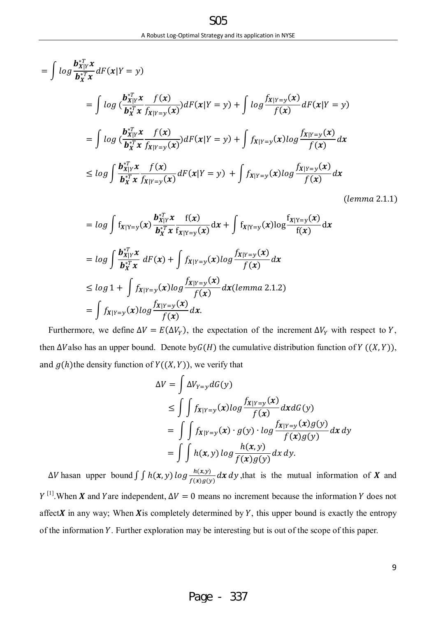݈݃ න = |ࢄ࢈ ࢞ ்∗ ࢄ࢈ ்࢞∗ (ݕ = ܻ|࢞)ܨ݀ ) ݈݃ න= |ࢄ࢈ ࢞ ்∗ ࢄ࢈ ்࢞∗ (࢞)݂ (࢞)ୀ௬|ࢄ݂ ݈݃ න +) ݕ = ܻ|࢞)ܨ݀( (࢞)ୀ௬|ࢄ݂ (࢞)݂ (ݕ = ܻ|࢞)ܨ݀ ) ݈݃ න= |ࢄ࢈ ࢞ ்∗ ࢄ࢈ ்࢞∗ (࢞)݂ (࢞)ୀ௬|ࢄ݂ ݈݃(࢞)ୀ௬|ࢄ݂ න +) ݕ = ܻ|࢞)ܨ݀( (࢞)ୀ௬|ࢄ݂ ࢞݀ (࢞)݂ න ݈݃ ≥ |ࢄ࢈ ࢞ ்∗ ࢄ࢈ ்࢞∗ (࢞)݂ (࢞)ୀ௬|ࢄ݂ ݈݃(࢞)ୀ௬|ࢄ݂ න +) ݕ = ܻ|࢞)ܨ݀ (࢞)ୀ௬|ࢄ݂ (࢞)݂ ࢞݀ (݈݁݉݉ܽ 2.1.1)

$$
= log \int f_{X|Y=y}(x) \frac{\mathbf{b}_{X|Y}^{*T} x}{\mathbf{b}_{X}^{*T} x} \frac{f(x)}{f_{X|Y=y}(x)} dx + \int f_{X|Y=y}(x) log \frac{f_{X|Y=y}(x)}{f(x)} dx
$$
  
\n
$$
= log \int \frac{\mathbf{b}_{X|Y}^{*T} x}{\mathbf{b}_{X}^{*T} x} dF(x) + \int f_{X|Y=y}(x) log \frac{f_{X|Y=y}(x)}{f(x)} dx
$$
  
\n
$$
\le log 1 + \int f_{X|Y=y}(x) log \frac{f_{X|Y=y}(x)}{f(x)} dx (lemma 2.1.2)
$$
  
\n
$$
= \int f_{X|Y=y}(x) log \frac{f_{X|Y=y}(x)}{f(x)} dx.
$$

Furthermore, we define  $\Delta V = E(\Delta V_Y)$ , the expectation of the increment  $\Delta V_Y$  with respect to Y, then  $\Delta V$ also has an upper bound. Denote by $G(H)$  the cumulative distribution function of  $Y((X, Y))$ , and  $g(h)$ the density function of  $Y((X, Y))$ , we verify that

$$
\Delta V = \int \Delta V_{Y=y} dG(y)
$$
  
\n
$$
\leq \int \int f_{X|Y=y}(x) \log \frac{f_{X|Y=y}(x)}{f(x)} dxdG(y)
$$
  
\n
$$
= \int \int f_{X|Y=y}(x) \cdot g(y) \cdot \log \frac{f_{X|Y=y}(x)g(y)}{f(x)g(y)} dx dy
$$
  
\n
$$
= \int \int h(x,y) \log \frac{h(x,y)}{f(x)g(y)} dx dy.
$$

 $\Delta V$  hasan upper bound  $\int \int h(x, y) \log \frac{h(x, y)}{f(x)g(y)} dx dy$ , that is the mutual information of **X** and  $Y^{[1]}$ . When  $X$  and Yare independent,  $\Delta V = 0$  means no increment because the information Y does not affect $X$  in any way; When  $X$ is completely determined by  $Y$ , this upper bound is exactly the entropy of the information Y. Further exploration may be interesting but is out of the scope of this paper.

9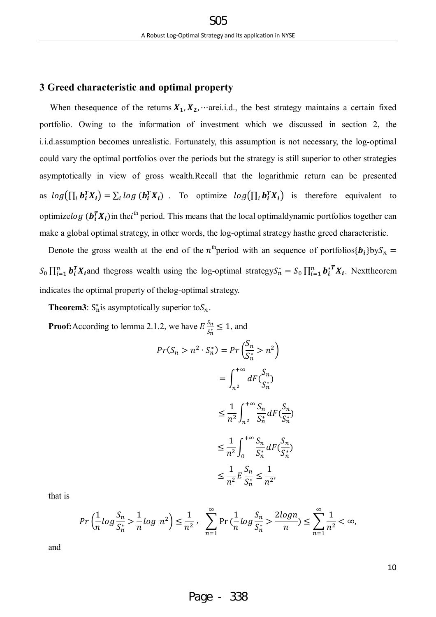# **3 Greed characteristic and optimal property**

When thesequence of the returns  $X_1, X_2, \dots$  arei.i.d., the best strategy maintains a certain fixed portfolio. Owing to the information of investment which we discussed in section 2, the i.i.d.assumption becomes unrealistic. Fortunately, this assumption is not necessary, the log-optimal could vary the optimal portfolios over the periods but the strategy is still superior to other strategies asymptotically in view of gross wealth.Recall that the logarithmic return can be presented as  $log(\prod_i b_i^T X_i) = \sum_i log(b_i^T X_i)$ . To optimize  $log(\prod_i b_i^T X_i)$  is therefore equivalent to optimizelog ( $b_i^T X_i$ ) in the *i*<sup>th</sup> period. This means that the local optimaldynamic portfolios together can make a global optimal strategy, in other words, the log-optimal strategy hasthe greed characteristic.

Denote the gross wealth at the end of the n<sup>th</sup>period with an sequence of portfolios{ $b_i$ }by $S_n$  =  $S_0 \prod_{i=1}^n b_i^T X_i$  and thegross wealth using the log-optimal strategy $S_n^* = S_0 \prod_{i=1}^n b_i^T X_i$ . Nexttheorem indicates the optimal property of thelog-optimal strategy.

**Theorem3**:  $S_n^*$  is asymptotically superior to  $S_n$ .

**Proof:** According to lemma 2.1.2, we have  $E \frac{S_n}{S_n^*} \leq 1$ , and

$$
Pr(S_n > n^2 \cdot S_n^*) = Pr\left(\frac{S_n}{S_n^*} > n^2\right)
$$
  

$$
= \int_{n^2}^{+\infty} dF\left(\frac{S_n}{S_n^*}\right)
$$
  

$$
\leq \frac{1}{n^2} \int_{n^2}^{+\infty} \frac{S_n}{S_n^*} dF\left(\frac{S_n}{S_n^*}\right)
$$
  

$$
\leq \frac{1}{n^2} \int_0^{+\infty} \frac{S_n}{S_n^*} dF\left(\frac{S_n}{S_n^*}\right)
$$
  

$$
\leq \frac{1}{n^2} E\frac{S_n}{S_n^*} \leq \frac{1}{n^2},
$$

that is

$$
Pr\left(\frac{1}{n}\log\frac{S_n}{S_n^*} > \frac{1}{n}\log\ n^2\right) \le \frac{1}{n^2}, \quad \sum_{n=1}^{\infty} Pr\left(\frac{1}{n}\log\frac{S_n}{S_n^*} > \frac{2\log n}{n}\right) \le \sum_{n=1}^{\infty} \frac{1}{n^2} < \infty,
$$

and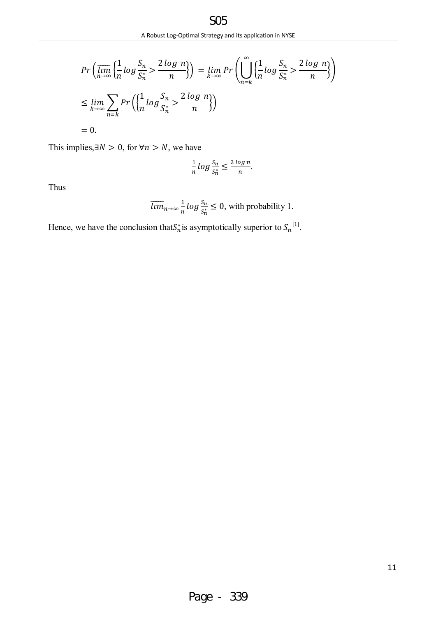$$
Pr\left(\overline{\lim}_{n\to\infty}\left\{\frac{1}{n}\log\frac{S_n}{S_n^*} > \frac{2\log n}{n}\right\}\right) = \lim_{k\to\infty} Pr\left(\bigcup_{n=k}^{\infty}\left\{\frac{1}{n}\log\frac{S_n}{S_n^*} > \frac{2\log n}{n}\right\}\right)
$$
\n
$$
\leq \lim_{k\to\infty} \sum_{n=k} Pr\left(\left\{\frac{1}{n}\log\frac{S_n}{S_n^*} > \frac{2\log n}{n}\right\}\right)
$$
\n
$$
= 0.
$$

This implies, $\exists N > 0$ , for ∀n > N, we have

$$
\frac{1}{n}\log\frac{S_n}{S_n^*} \le \frac{2\log n}{n}.
$$

Thus

$$
\overline{\lim}_{n \to \infty} \frac{1}{n} \log \frac{S_n}{S_n^*} \le 0
$$
, with probability 1.

Hence, we have the conclusion that  $S_n^*$  is asymptotically superior to  $S_n^{[1]}$ .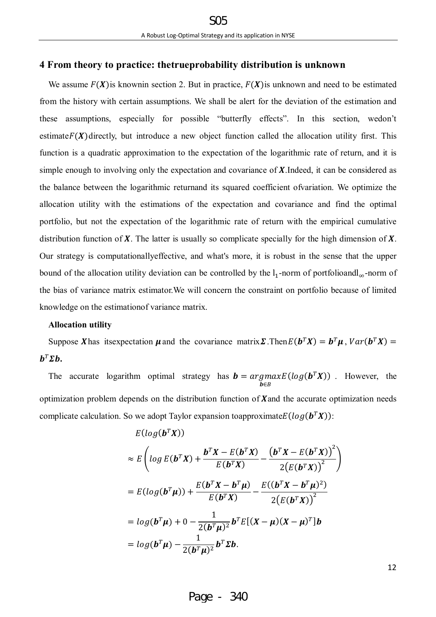# **4 From theory to practice: thetrueprobability distribution is unknown**

We assume  $F(X)$  is known in section 2. But in practice,  $F(X)$  is unknown and need to be estimated from the history with certain assumptions. We shall be alert for the deviation of the estimation and these assumptions, especially for possible "butterfly effects". In this section, wedon't estimate $F(X)$  directly, but introduce a new object function called the allocation utility first. This function is a quadratic approximation to the expectation of the logarithmic rate of return, and it is simple enough to involving only the expectation and covariance of  $\boldsymbol{X}$ . Indeed, it can be considered as the balance between the logarithmic returnand its squared coefficient ofvariation. We optimize the allocation utility with the estimations of the expectation and covariance and find the optimal portfolio, but not the expectation of the logarithmic rate of return with the empirical cumulative distribution function of  $X$ . The latter is usually so complicate specially for the high dimension of  $X$ . Our strategy is computationallyeffective, and what's more, it is robust in the sense that the upper bound of the allocation utility deviation can be controlled by the  $l_1$ -norm of portfolioandl<sub>∞</sub>-norm of the bias of variance matrix estimator.We will concern the constraint on portfolio because of limited knowledge on the estimationof variance matrix.

## **Allocation utility**

Suppose X has itsexpectation  $\mu$  and the covariance matrix  $\Sigma$ . Then  $E(b^T X) = b^T \mu$ ,  $Var(b^T X) =$  $\bm{b}^T \bm{\Sigma} \bm{b}$ .

The accurate logarithm optimal strategy has  $\mathbf{b} = \argmax$ ∋࢈  $E(log(\mathbf{b}^T\mathbf{X}))$  However, the optimization problem depends on the distribution function of **X** and the accurate optimization needs complicate calculation. So we adopt Taylor expansion toapproximate $E(log(\mathbf{b}^T\mathbf{X}))$ :

$$
E(log(b^T X))
$$
  
\n
$$
\approx E\left(log E(b^T X) + \frac{b^T X - E(b^T X)}{E(b^T X)} - \frac{(b^T X - E(b^T X))^2}{2(E(b^T X))^2}\right)
$$
  
\n
$$
= E(log(b^T \mu)) + \frac{E(b^T X - b^T \mu)}{E(b^T X)} - \frac{E((b^T X - b^T \mu)^2)}{2(E(b^T X))^2}
$$
  
\n
$$
= log(b^T \mu) + 0 - \frac{1}{2(b^T \mu)^2} b^T E[(X - \mu)(X - \mu)^T]b
$$
  
\n
$$
= log(b^T \mu) - \frac{1}{2(b^T \mu)^2} b^T \Sigma b.
$$

Page - 340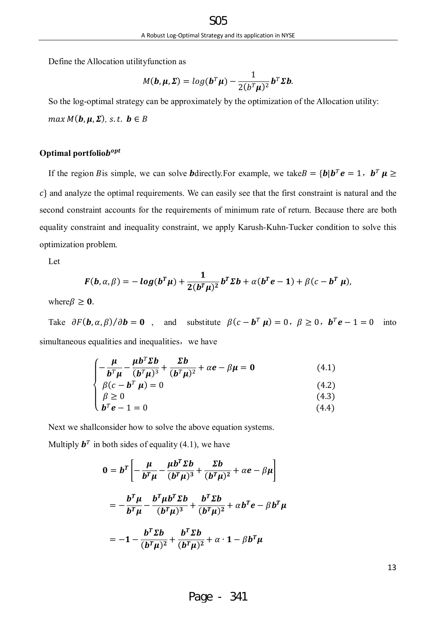Define the Allocation utilityfunction as

$$
M(\boldsymbol{b}, \boldsymbol{\mu}, \boldsymbol{\Sigma}) = log(\boldsymbol{b}^T \boldsymbol{\mu}) - \frac{1}{2(b^T \boldsymbol{\mu})^2} \boldsymbol{b}^T \boldsymbol{\Sigma} \boldsymbol{b}.
$$

So the log-optimal strategy can be approximately by the optimization of the Allocation utility:  $max M(b, \mu, \Sigma)$ , *s.t.*  $b \in B$ 

# Optimal portfolio $b^{opt}$

If the region B is simple, we can solve **b** directly. For example, we take  $B = \{b \mid b^T e = 1, b^T \mu \geq 0\}$  $c$ } and analyze the optimal requirements. We can easily see that the first constraint is natural and the second constraint accounts for the requirements of minimum rate of return. Because there are both equality constraint and inequality constraint, we apply Karush-Kuhn-Tucker condition to solve this optimization problem.

Let

$$
F(b,\alpha,\beta)=-log(b^T\mu)+\frac{1}{2(b^T\mu)^2}b^T\Sigma b+\alpha(b^Te-1)+\beta(c-b^T\mu),
$$

where  $\beta \geq 0$ .

Take  $\partial F(\mathbf{b}, \alpha, \beta)/\partial \mathbf{b} = \mathbf{0}$ , and substitute  $\beta(c - \mathbf{b}^T \mathbf{\mu}) = 0$ ,  $\beta \ge 0$ ,  $\mathbf{b}^T \mathbf{e} - 1 = 0$  into simultaneous equalities and inequalities, we have

$$
\begin{cases}\n-\frac{\mu}{b^T \mu} - \frac{\mu b^T \Sigma b}{(b^T \mu)^3} + \frac{\Sigma b}{(b^T \mu)^2} + \alpha e - \beta \mu = 0 & (4.1) \\
\beta (c - b^T \mu) = 0 & (4.2) \\
\beta \ge 0 & (4.3) \\
b^T e - 1 = 0 & (4.4)\n\end{cases}
$$

Next we shallconsider how to solve the above equation systems.

Multiply  $\mathbf{b}^T$  in both sides of equality (4.1), we have

$$
0 = bT \left[ -\frac{\mu}{bT \mu} - \frac{\mu bT \Sigma b}{(bT \mu)3} + \frac{\Sigma b}{(bT \mu)2} + \alpha e - \beta \mu \right]
$$
  
= 
$$
-\frac{bT \mu}{bT \mu} - \frac{bT \mu bT \Sigma b}{(bT \mu)3} + \frac{bT \Sigma b}{(bT \mu)2} + \alpha bT e - \beta bT \mu
$$
  
= 
$$
-1 - \frac{bT \Sigma b}{(bT \mu)2} + \frac{bT \Sigma b}{(bT \mu)2} + \alpha \cdot 1 - \beta bT \mu
$$

| I | ۰.<br>I      |
|---|--------------|
|   | n an         |
|   | ۰.<br>v<br>× |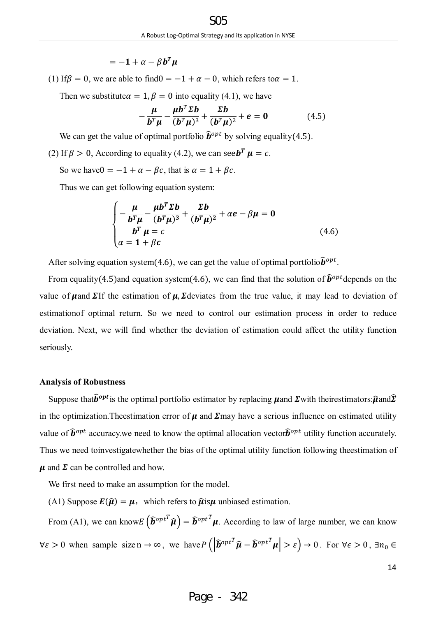$= -1 + \alpha - \beta b^T u$ 

(1) If  $\beta = 0$ , we are able to find  $0 = -1 + \alpha - 0$ , which refers to  $\alpha = 1$ .

Then we substitute $\alpha = 1, \beta = 0$  into equality (4.1), we have

$$
-\frac{\mu}{b^T\mu} - \frac{\mu b^T \Sigma b}{(b^T\mu)^3} + \frac{\Sigma b}{(b^T\mu)^2} + e = 0
$$
 (4.5)

We can get the value of optimal portfolio  $\hat{b}^{opt}$  by solving equality(4.5).

(2) If  $\beta > 0$ , According to equality (4.2), we can see  $\mathbf{b}^T \mathbf{\mu} = c$ .

So we have  $0 = -1 + \alpha - \beta c$ , that is  $\alpha = 1 + \beta c$ .

Thus we can get following equation system:

$$
\begin{cases}\n-\frac{\mu}{b^T\mu} - \frac{\mu b^T \Sigma b}{(b^T\mu)^3} + \frac{\Sigma b}{(b^T\mu)^2} + \alpha e - \beta \mu = 0 \\
b^T \mu = c \\
\alpha = 1 + \beta c\n\end{cases}
$$
\n(4.6)

After solving equation system(4.6), we can get the value of optimal portfolio $\hat{b}^{opt}$ .

From equality(4.5)and equation system(4.6), we can find that the solution of  $\hat{b}^{opt}$  depends on the value of  $\mu$ and  $\Sigma$ If the estimation of  $\mu$ ,  $\Sigma$ deviates from the true value, it may lead to deviation of estimationof optimal return. So we need to control our estimation process in order to reduce deviation. Next, we will find whether the deviation of estimation could affect the utility function seriously.

#### **Analysis of Robustness**

Suppose that  $\widehat{b}^{opt}$  is the optimal portfolio estimator by replacing **µand**  $\Sigma$  with theirestimators: $\widehat{\mu}$ and $\widehat{\Sigma}$ in the optimization. The estimation error of  $\mu$  and  $\Sigma$ may have a serious influence on estimated utility value of  $\hat{b}^{opt}$  accuracy.we need to know the optimal allocation vector $\hat{b}^{opt}$  utility function accurately. Thus we need toinvestigatewhether the bias of the optimal utility function following theestimation of  $\mu$  and  $\Sigma$  can be controlled and how.

We first need to make an assumption for the model.

(A1) Suppose  $\mathbf{E}(\hat{\mathbf{u}}) = \mathbf{u}$ , which refers to  $\hat{\mathbf{u}}$  unbiased estimation.

From (A1), we can know $E(\hat{\boldsymbol{b}}^{opt^T}\hat{\boldsymbol{\mu}}) = \hat{\boldsymbol{b}}^{opt^T}\boldsymbol{\mu}$ . According to law of large number, we can know  $\forall \varepsilon > 0$  when sample sizen  $\rightarrow \infty$ , we have  $P\left( \left| \widehat{\boldsymbol{b}}^{opt} \widehat{\boldsymbol{\mu}} - \widehat{\boldsymbol{b}}^{opt} \widehat{\boldsymbol{\mu}} \right| > \varepsilon \right) \rightarrow 0$ . For  $\forall \varepsilon > 0$ ,  $\exists n_0 \in \mathbb{R}$ 

$$
14 \\
$$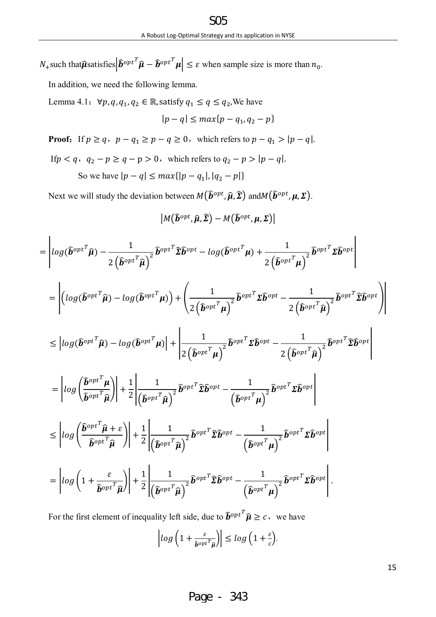$N_+$ such that $\hat{\boldsymbol{\mu}}$ satisfies $\left| \hat{\boldsymbol{b}}^{opt} \right| \hat{\boldsymbol{\mu}} - \hat{\boldsymbol{b}}^{opt} \hat{\boldsymbol{\mu}} \right| \leq \varepsilon$  when sample size is more than  $n_0$ .

In addition, we need the following lemma.

Lemma 4.1:  $\forall p, q, q_1, q_2 \in \mathbb{R}$ , satisfy  $q_1 \leq q \leq q_2$ , We have

$$
|p - q| \le \max\{p - q_1, q_2 - p\}
$$

**Proof:** If  $p \ge q$ ,  $p - q_1 \ge p - q \ge 0$ , which refers to  $p - q_1 > |p - q|$ .

If  $p < q$ ,  $q_2 - p \ge q - p > 0$ , which refers to  $q_2 - p > |p - q|$ .

So we have  $|p - q| \leq max\{|p - q_1|, |q_2 - p|\}$ 

Next we will study the deviation between  $M(\hat{b}^{opt}, \hat{\mu}, \hat{\Sigma})$  and  $M(\hat{b}^{opt}, \mu, \Sigma)$ .

$$
\big|M\big(\widehat{\bm{b}}^{opt}, \widehat{\bm{\mu}}, \widehat{\bm{\Sigma}}\big) - M\big(\widehat{\bm{b}}^{opt}, \bm{\mu}, \bm{\Sigma}\big)\big|
$$

$$
= \left|log(\widehat{\boldsymbol{b}}^{opt^T}\widehat{\boldsymbol{\mu}}) - \frac{1}{2(\widehat{\boldsymbol{b}}^{opt^T}\widehat{\boldsymbol{\mu}})^2}\widehat{\boldsymbol{b}}^{opt^T}\widehat{\boldsymbol{\Sigma}}\widehat{\boldsymbol{b}}^{opt} - log(\widehat{\boldsymbol{b}}^{opt^T}\boldsymbol{\mu}) + \frac{1}{2(\widehat{\boldsymbol{b}}^{opt^T}\boldsymbol{\mu})^2}\widehat{\boldsymbol{b}}^{opt^T}\boldsymbol{\Sigma}\widehat{\boldsymbol{b}}^{opt}\right|\right|
$$

$$
= \left| \left( log(\widehat{\boldsymbol{b}}^{opt^T} \widehat{\boldsymbol{\mu}}) - log(\widehat{\boldsymbol{b}}^{opt^T} \boldsymbol{\mu}) \right) + \left( \frac{1}{2(\widehat{\boldsymbol{b}}^{opt^T} \boldsymbol{\mu})^2} \widehat{\boldsymbol{b}}^{opt^T} \Sigma \widehat{\boldsymbol{b}}^{opt} - \frac{1}{2(\widehat{\boldsymbol{b}}^{opt^T} \widehat{\boldsymbol{\mu}})^2} \widehat{\boldsymbol{b}}^{opt^T} \widehat{\boldsymbol{E}} \widehat{\boldsymbol{b}}^{opt} \right) \right|
$$

$$
\leq \left|log(\widehat{\boldsymbol{b}}^{opt^T}\widehat{\boldsymbol{\mu}}) - log(\widehat{\boldsymbol{b}}^{opt^T}\boldsymbol{\mu})\right| + \left|\frac{1}{2\left(\widehat{\boldsymbol{b}}^{opt^T}\boldsymbol{\mu}\right)^2}\widehat{\boldsymbol{b}}^{opt^T}\boldsymbol{\Sigma}\widehat{\boldsymbol{b}}^{opt} - \frac{1}{2\left(\widehat{\boldsymbol{b}}^{opt^T}\widehat{\boldsymbol{\mu}}\right)^2}\widehat{\boldsymbol{b}}^{opt^T}\widehat{\boldsymbol{\Sigma}}\widehat{\boldsymbol{b}}^{opt}\right|
$$

$$
= \left|log\left(\frac{\widehat{\boldsymbol{b}}^{opt}}{\widehat{\boldsymbol{b}}^{opt}}\widehat{\boldsymbol{\mu}}\right)\right| + \frac{1}{2}\left|\frac{1}{\left(\widehat{\boldsymbol{b}}^{opt}}\widehat{\boldsymbol{\mu}}\right)^2}\widehat{\boldsymbol{b}}^{opt} \widehat{\boldsymbol{\Sigma}}\widehat{\boldsymbol{b}}^{opt} - \frac{1}{\left(\widehat{\boldsymbol{b}}^{opt}}\widehat{\boldsymbol{\mu}}\right)^2}\widehat{\boldsymbol{b}}^{opt} \boldsymbol{\Sigma}\widehat{\boldsymbol{b}}^{opt}\right|
$$

$$
\leq \left|log\left(\frac{\widehat{\boldsymbol{b}}^{opt}}{\widehat{\boldsymbol{b}}^{opt}}\widehat{\boldsymbol{\mu}} + \widehat{2}\right)\right| + \frac{1}{2}\left|\frac{1}{\left(\widehat{\boldsymbol{b}}^{opt}}\widehat{\boldsymbol{\mu}}\right)^{2}}\widehat{\boldsymbol{b}}^{opt} \widehat{\boldsymbol{\Sigma}}\widehat{\boldsymbol{b}}^{opt} - \frac{1}{\left(\widehat{\boldsymbol{b}}^{opt}}\widehat{\boldsymbol{\mu}}\right)^{2}}\widehat{\boldsymbol{b}}^{opt} \boldsymbol{\Sigma}\widehat{\boldsymbol{b}}^{opt}\right|
$$

$$
= \left|log\left(1+\frac{\varepsilon}{\widehat{\boldsymbol{b}}^{opt}}\right)\right| + \frac{1}{2}\left|\frac{1}{\left(\widehat{\boldsymbol{b}}^{opt}}\widehat{\boldsymbol{\mu}}\right)^{2}}\widehat{\boldsymbol{b}}^{opt} \widehat{\boldsymbol{\Sigma}}\widehat{\boldsymbol{b}}^{opt} - \frac{1}{\left(\widehat{\boldsymbol{b}}^{opt}}\widehat{\boldsymbol{\mu}}\right)^{2}}\widehat{\boldsymbol{b}}^{opt} \boldsymbol{\Sigma}\widehat{\boldsymbol{b}}^{opt}\right|.
$$

For the first element of inequality left side, due to  $\hat{b}^{opt} \hat{\mu} \ge c$ , we have

$$
\left| \log \left( 1 + \frac{\varepsilon}{\hat{b}^{opt}} \right) \right| \le \log \left( 1 + \frac{\varepsilon}{c} \right).
$$

15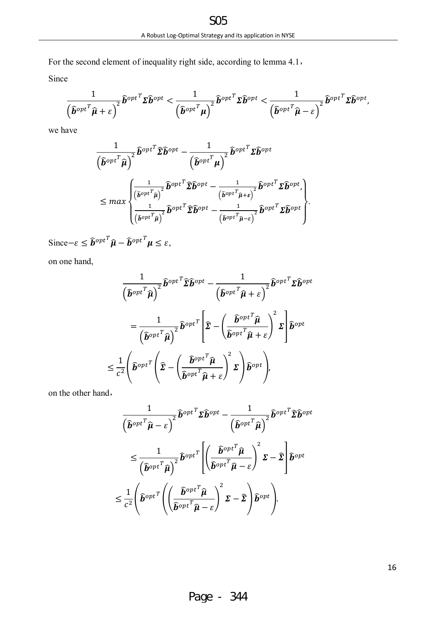For the second element of inequality right side, according to lemma 4.1,

Since

$$
\frac{1}{\left(\widehat{\boldsymbol{b}}^{opt}}^T\widehat{\boldsymbol{\mu}} + \varepsilon\right)^2} \widehat{\boldsymbol{b}}^{opt}^T \boldsymbol{\Sigma} \widehat{\boldsymbol{b}}^{opt} < \frac{1}{\left(\widehat{\boldsymbol{b}}^{opt}}^T\boldsymbol{\mu}\right)^2} \widehat{\boldsymbol{b}}^{opt} \boldsymbol{\Sigma} \widehat{\boldsymbol{b}}^{opt} < \frac{1}{\left(\widehat{\boldsymbol{b}}^{opt}}^T\widehat{\boldsymbol{\mu}} - \varepsilon\right)^2} \widehat{\boldsymbol{b}}^{opt} \boldsymbol{\Sigma} \widehat{\boldsymbol{b}}^{opt},
$$

we have

$$
\frac{1}{(\widehat{b}^{opt}}\widehat{\mu})^2 \widehat{b}^{opt} \widehat{\Sigma} \widehat{b}^{opt} - \frac{1}{(\widehat{b}^{opt}}\widehat{\mu})^2 \widehat{b}^{opt} \Sigma \widehat{b}^{opt}
$$
\n
$$
\leq max \begin{cases} \frac{1}{(\widehat{b}^{opt}}\widehat{\mu})^2 \widehat{b}^{opt} - \frac{1}{(\widehat{b}^{opt}}\widehat{\mu})^2 \widehat{b}^{opt} - \frac{1}{(\widehat{b}^{opt}}\widehat{\mu})^2 \widehat{b}^{opt} \Sigma \widehat{b}^{opt}, \\ \frac{1}{(\widehat{b}^{opt}}\widehat{\mu})^2 \widehat{b}^{opt} \Sigma \widehat{b}^{opt} - \frac{1}{(\widehat{b}^{opt}}\widehat{\mu})^2 \widehat{b}^{opt} \Sigma \widehat{b}^{opt} \end{cases}
$$

Since  $-\varepsilon \leq \hat{b}^{opt}^T \hat{\mu} - \hat{b}^{opt}^T \mu \leq \varepsilon$ ,

on one hand,

$$
\frac{1}{(\hat{\boldsymbol{b}}^{opt}}\hat{\boldsymbol{a}})^{2}}\hat{\boldsymbol{b}}^{opt} \hat{\boldsymbol{\Sigma}} \hat{\boldsymbol{b}}^{opt} - \frac{1}{(\hat{\boldsymbol{b}}^{opt}}\hat{\boldsymbol{a}} + \varepsilon)^{2}}\hat{\boldsymbol{b}}^{opt} \boldsymbol{\Sigma} \hat{\boldsymbol{b}}^{opt}
$$
\n
$$
= \frac{1}{(\hat{\boldsymbol{b}}^{opt}}\hat{\boldsymbol{a}})^{2}}\hat{\boldsymbol{b}}^{opt} \hat{\boldsymbol{\Sigma}} - \left(\frac{\hat{\boldsymbol{b}}^{opt}}{\hat{\boldsymbol{b}}^{opt}}\hat{\boldsymbol{a}} + \varepsilon\right)^{2} \boldsymbol{\Sigma} \hat{\boldsymbol{b}}^{opt}
$$
\n
$$
\leq \frac{1}{c^{2}}\left(\hat{\boldsymbol{b}}^{opt} \hat{\boldsymbol{\Sigma}} - \left(\frac{\hat{\boldsymbol{b}}^{opt}}{\hat{\boldsymbol{b}}^{opt}}\hat{\boldsymbol{a}} + \varepsilon\right)^{2} \boldsymbol{\Sigma}\right)\hat{\boldsymbol{b}}^{opt},
$$

on the other hand,

$$
\frac{1}{(\widehat{b}^{opt}}\widehat{\mu}-\varepsilon)^2}\widehat{b}^{opt}T\Sigma\widehat{b}^{opt}-\frac{1}{(\widehat{b}^{opt}}\widehat{\mu})^2}\widehat{b}^{opt}T\Sigma\widehat{b}^{opt}
$$
\n
$$
\leq \frac{1}{(\widehat{b}^{opt}}\widehat{\mu})^2}\widehat{b}^{opt}T\left[\left(\frac{\widehat{b}^{opt}}{\widehat{b}^{opt}}\widehat{\mu}-\varepsilon\right)^2\Sigma-\widehat{\Sigma}\right]\widehat{b}^{opt}
$$
\n
$$
\leq \frac{1}{c^2}\left(\widehat{b}^{opt}T\left(\left(\frac{\widehat{b}^{opt}}{\widehat{b}^{opt}}\widehat{\mu}-\varepsilon\right)^2\Sigma-\widehat{\Sigma}\right)\widehat{b}^{opt}\right).
$$

Page - 344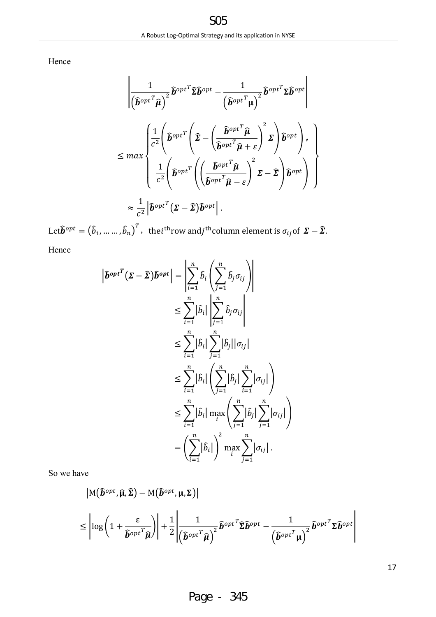Hence

$$
\frac{1}{(\widehat{\boldsymbol{b}}^{opt}}\widehat{\boldsymbol{h}}^{opt}\widehat{\mathbf{z}}\widehat{\boldsymbol{b}}^{opt} - \frac{1}{(\widehat{\boldsymbol{b}}^{opt}}\widehat{\boldsymbol{h}}^{opt}\mathbf{z}\widehat{\boldsymbol{b}}^{opt})
$$
\n
$$
\leq max \begin{cases}\n\frac{1}{c^2} \left( \widehat{\boldsymbol{b}}^{opt}\left(\widehat{\boldsymbol{\Sigma}} - \left(\frac{\widehat{\boldsymbol{b}}^{opt}}{\widehat{\boldsymbol{b}}^{opt}}\widehat{\boldsymbol{\mu}}\right)^2 \boldsymbol{\Sigma}\right) \widehat{\boldsymbol{b}}^{opt} \right), \\
\frac{1}{c^2} \left( \widehat{\boldsymbol{b}}^{opt}\left(\widehat{\boldsymbol{\Sigma}} - \left(\frac{\widehat{\boldsymbol{b}}^{opt}}{\widehat{\boldsymbol{b}}^{opt}}\widehat{\boldsymbol{\mu}} + \varepsilon\right)^2 \boldsymbol{\Sigma}\right) \widehat{\boldsymbol{b}}^{opt} \right), \\
\frac{1}{c^2} \left( \widehat{\boldsymbol{b}}^{opt}\left(\left(\frac{\widehat{\boldsymbol{b}}^{opt}}{\widehat{\boldsymbol{b}}^{opt}}\widehat{\boldsymbol{\mu}} - \varepsilon\right)^2 \boldsymbol{\Sigma} - \widehat{\boldsymbol{\Sigma}} \right) \widehat{\boldsymbol{b}}^{opt} \right) \right)\n\end{cases}
$$
\n
$$
\approx \frac{1}{c^2} |\widehat{\boldsymbol{b}}^{opt}( \boldsymbol{\Sigma} - \widehat{\boldsymbol{\Sigma}}) \widehat{\boldsymbol{b}}^{opt}|.
$$

Let $\bm{\widehat{b}}^{opt} = \left(\widehat{b}_1, ..., ..., \widehat{b}_n\right)^T$ , the $i^{\text{th}}$ row and $j^{\text{th}}$ column element is  $\sigma_{ij}$ of  $\bm{\varSigma} - \widehat{\bm{\Sigma}}$ . Hence

$$
\left| \widehat{b}^{opt} (\Sigma - \widehat{\Sigma}) \widehat{b}^{opt} \right| = \left| \sum_{i=1}^{n} \widehat{b}_{i} \left( \sum_{j=1}^{n} \widehat{b}_{j} \sigma_{ij} \right) \right|
$$
  
\n
$$
\leq \sum_{i=1}^{n} |\widehat{b}_{i}| \left| \sum_{j=1}^{n} \widehat{b}_{j} \sigma_{ij} \right|
$$
  
\n
$$
\leq \sum_{i=1}^{n} |\widehat{b}_{i}| \sum_{j=1}^{n} |\widehat{b}_{j}| |\sigma_{ij}|
$$
  
\n
$$
\leq \sum_{i=1}^{n} |\widehat{b}_{i}| \left( \sum_{j=1}^{n} |\widehat{b}_{j}| \sum_{i=1}^{n} |\sigma_{ij}| \right)
$$
  
\n
$$
\leq \sum_{i=1}^{n} |\widehat{b}_{i}| \max_{i} \left( \sum_{j=1}^{n} |\widehat{b}_{j}| \sum_{j=1}^{n} |\sigma_{ij}| \right)
$$
  
\n
$$
= \left( \sum_{i=1}^{n} |\widehat{b}_{i}| \right)^{2} \max_{i} \sum_{j=1}^{n} |\sigma_{ij}|.
$$

So we have

$$
|M(\hat{b}^{opt}, \hat{\mu}, \hat{\Sigma}) - M(\hat{b}^{opt}, \mu, \Sigma)|
$$
  

$$
\leq \left| \log \left( 1 + \frac{\varepsilon}{\hat{b}^{opt}} \right) \right| + \frac{1}{2} \left| \frac{1}{\left( \hat{b}^{opt}} \hat{\mu} \right)^2} \hat{b}^{opt} \hat{\Sigma} \hat{b}^{opt} - \frac{1}{\left( \hat{b}^{opt}} \hat{\mu} \right)^2} \hat{b}^{opt} \Sigma \hat{b}^{opt} \right|
$$

17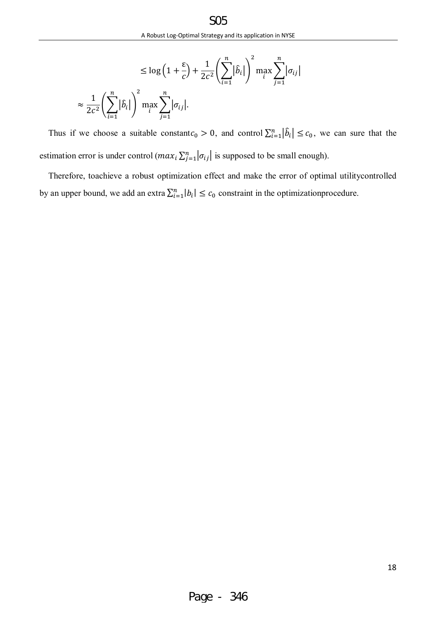$$
\leq \log\left(1+\frac{\varepsilon}{c}\right) + \frac{1}{2c^2} \left(\sum_{i=1}^n |\hat{b}_i|\right)^2 \max_i \sum_{j=1}^n |\sigma_{ij}|
$$
  

$$
\approx \frac{1}{2c^2} \left(\sum_{i=1}^n |\hat{b}_i|\right)^2 \max_i \sum_{j=1}^n |\sigma_{ij}|.
$$

Thus if we choose a suitable constant $c_0 > 0$ , and control  $\sum_{i=1}^n |\hat{b}_i| \leq c_0$ , we can sure that the estimation error is under control  $(max_i \sum_{j=1}^n |\sigma_{ij}|$  is supposed to be small enough).

Therefore, toachieve a robust optimization effect and make the error of optimal utilitycontrolled by an upper bound, we add an extra  $\sum_{i=1}^{n} |b_i| \leq c_0$  constraint in the optimization procedure.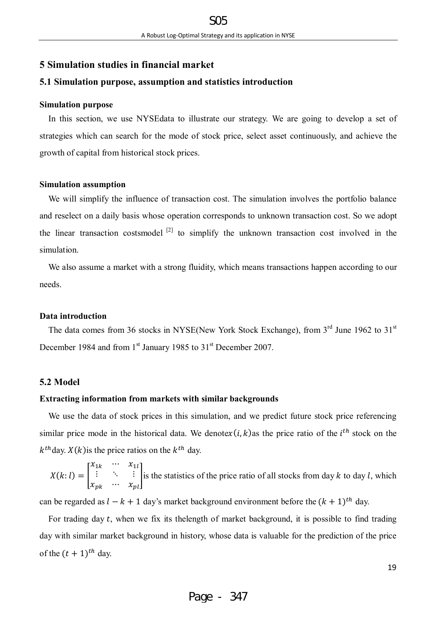# **5 Simulation studies in financial market**

## **5.1 Simulation purpose, assumption and statistics introduction**

#### **Simulation purpose**

In this section, we use NYSEdata to illustrate our strategy. We are going to develop a set of strategies which can search for the mode of stock price, select asset continuously, and achieve the growth of capital from historical stock prices.

#### **Simulation assumption**

We will simplify the influence of transaction cost. The simulation involves the portfolio balance and reselect on a daily basis whose operation corresponds to unknown transaction cost. So we adopt the linear transaction costsmodel  $[2]$  to simplify the unknown transaction cost involved in the simulation.

We also assume a market with a strong fluidity, which means transactions happen according to our needs.

#### **Data introduction**

The data comes from 36 stocks in NYSE(New York Stock Exchange), from  $3<sup>rd</sup>$  June 1962 to  $31<sup>st</sup>$ December 1984 and from 1<sup>st</sup> January 1985 to 31<sup>st</sup> December 2007.

## **5.2 Model**

# **Extracting information from markets with similar backgrounds**

We use the data of stock prices in this simulation, and we predict future stock price referencing similar price mode in the historical data. We denotex  $(i, k)$  as the price ratio of the  $i<sup>th</sup>$  stock on the  $k^{th}$  day.  $X(k)$  is the price ratios on the  $k^{th}$  day.

$$
X(k; l) = \begin{bmatrix} x_{1k} & \cdots & x_{1l} \\ \vdots & \ddots & \vdots \\ x_{pk} & \cdots & x_{pl} \end{bmatrix}
$$
 is the statistics of the price ratio of all stocks from day k to day l, which

can be regarded as  $l - k + 1$  day's market background environment before the  $(k + 1)$ <sup>th</sup> day.

For trading day  $t$ , when we fix its the length of market background, it is possible to find trading day with similar market background in history, whose data is valuable for the prediction of the price of the  $(t + 1)^{th}$  day.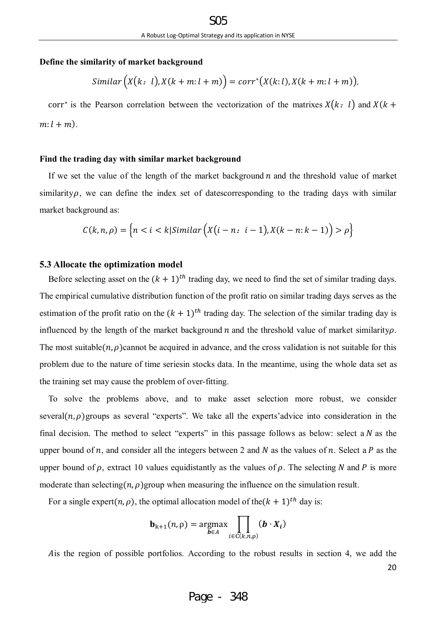## **Define the similarity of market background**

$$
Similar\Big(X(k: l), X(k+m: l+m)\Big) = corr^*\big(X(k: l), X(k+m: l+m)\big),
$$

corr<sup>∗</sup> is the Pearson correlation between the vectorization of the matrixes  $X(k: l)$  and  $X(k + l)$  $m: l + m$ ).

## **Find the trading day with similar market background**

If we set the value of the length of the market background  $n$  and the threshold value of market similarity $\rho$ , we can define the index set of datescorresponding to the trading days with similar market background as:

$$
C(k, n, \rho) = \left\{ n < i < k \middle| \text{Similar}\left(X(i - n : i - 1), X(k - n : k - 1)\right) > \rho \right\}
$$

## **5.3 Allocate the optimization model**

Before selecting asset on the  $(k + 1)^{th}$  trading day, we need to find the set of similar trading days. The empirical cumulative distribution function of the profit ratio on similar trading days serves as the estimation of the profit ratio on the  $(k + 1)$ <sup>th</sup> trading day. The selection of the similar trading day is influenced by the length of the market background  $n$  and the threshold value of market similarity $\rho$ . The most suitable( $n$ ,  $\rho$ )cannot be acquired in advance, and the cross validation is not suitable for this problem due to the nature of time seriesin stocks data. In the meantime, using the whole data set as the training set may cause the problem of over-fitting.

To solve the problems above, and to make asset selection more robust, we consider several( $n, \rho$ ) groups as several "experts". We take all the experts' advice into consideration in the final decision. The method to select "experts" in this passage follows as below: select a  $N$  as the upper bound of  $n$ , and consider all the integers between 2 and N as the values of  $n$ . Select a P as the upper bound of  $\rho$ , extract 10 values equidistantly as the values of  $\rho$ . The selecting N and P is more moderate than selecting( $n$ ,  $\rho$ )group when measuring the influence on the simulation result.

For a single expert(n,  $\rho$ ), the optimal allocation model of the( $k + 1$ )<sup>th</sup> day is:

$$
\mathbf{b}_{k+1}(n,\rho) = \underset{\boldsymbol{b} \in A}{\operatorname{argmax}} \prod_{i \in C(k,n,\rho)} (\boldsymbol{b} \cdot \boldsymbol{X}_i)
$$

Ais the region of possible portfolios. According to the robust results in section 4, we add the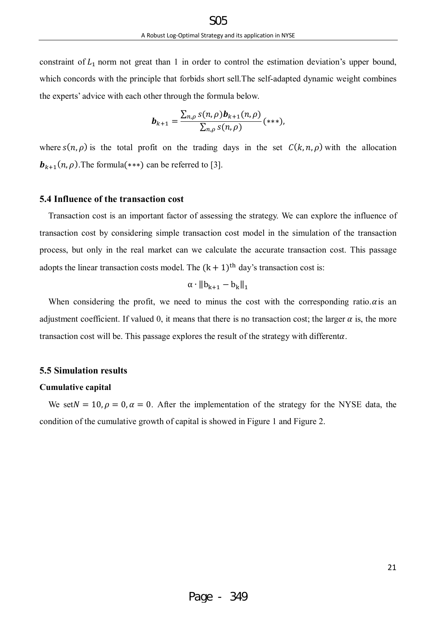constraint of  $L_1$  norm not great than 1 in order to control the estimation deviation's upper bound, which concords with the principle that forbids short sell.The self-adapted dynamic weight combines the experts' advice with each other through the formula below.

$$
\boldsymbol{b}_{k+1} = \frac{\sum_{n,\rho} s(n,\rho) \boldsymbol{b}_{k+1}(n,\rho)}{\sum_{n,\rho} s(n,\rho)} (\ast \ast \ast),
$$

where  $s(n, \rho)$  is the total profit on the trading days in the set  $C(k, n, \rho)$  with the allocation **. The formula(\*\*\*) can be referred to [3].** 

# **5.4 Influence of the transaction cost**

Transaction cost is an important factor of assessing the strategy. We can explore the influence of transaction cost by considering simple transaction cost model in the simulation of the transaction process, but only in the real market can we calculate the accurate transaction cost. This passage adopts the linear transaction costs model. The  $(k + 1)$ <sup>th</sup> day's transaction cost is:

$$
\alpha \cdot \|b_{k+1} - b_k\|_1
$$

When considering the profit, we need to minus the cost with the corresponding ratio. $\alpha$  is an adjustment coefficient. If valued 0, it means that there is no transaction cost; the larger  $\alpha$  is, the more transaction cost will be. This passage explores the result of the strategy with differenta.

# **5.5 Simulation results**

## **Cumulative capital**

We set  $N = 10$ ,  $\rho = 0$ ,  $\alpha = 0$ . After the implementation of the strategy for the NYSE data, the condition of the cumulative growth of capital is showed in Figure 1 and Figure 2.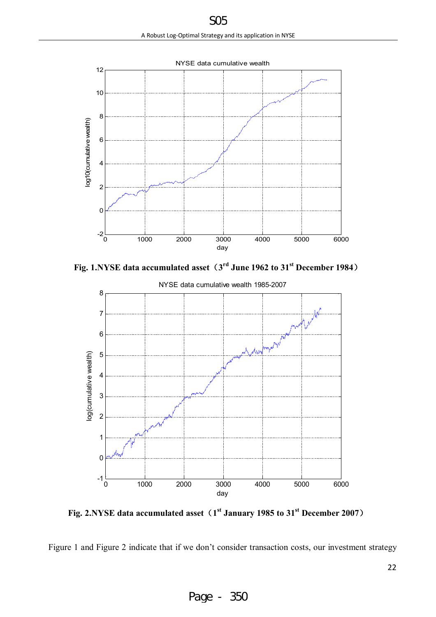

**Fig. 1.NYSE data accumulated asset(3 rd June 1962 to 31st December 1984)**



**Fig. 2.NYSE data accumulated asset(1 st January 1985 to 31st December 2007)**

Figure 1 and Figure 2 indicate that if we don't consider transaction costs, our investment strategy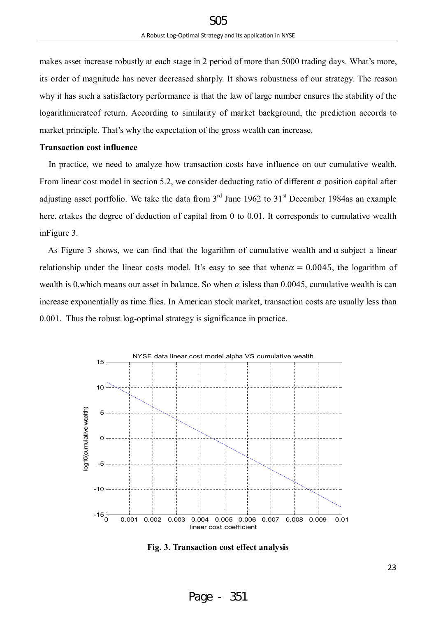makes asset increase robustly at each stage in 2 period of more than 5000 trading days. What's more, its order of magnitude has never decreased sharply. It shows robustness of our strategy. The reason why it has such a satisfactory performance is that the law of large number ensures the stability of the logarithmicrateof return. According to similarity of market background, the prediction accords to market principle. That's why the expectation of the gross wealth can increase.

## **Transaction cost influence**

 In practice, we need to analyze how transaction costs have influence on our cumulative wealth. From linear cost model in section 5.2, we consider deducting ratio of different  $\alpha$  position capital after adjusting asset portfolio. We take the data from  $3<sup>rd</sup>$  June 1962 to  $31<sup>st</sup>$  December 1984as an example here.  $\alpha$ takes the degree of deduction of capital from 0 to 0.01. It corresponds to cumulative wealth inFigure 3.

As Figure 3 shows, we can find that the logarithm of cumulative wealth and  $\alpha$  subject a linear relationship under the linear costs model. It's easy to see that when $\alpha = 0.0045$ , the logarithm of wealth is 0, which means our asset in balance. So when  $\alpha$  isless than 0.0045, cumulative wealth is can increase exponentially as time flies. In American stock market, transaction costs are usually less than 0.001. Thus the robust log-optimal strategy is significance in practice.



**Fig. 3. Transaction cost effect analysis**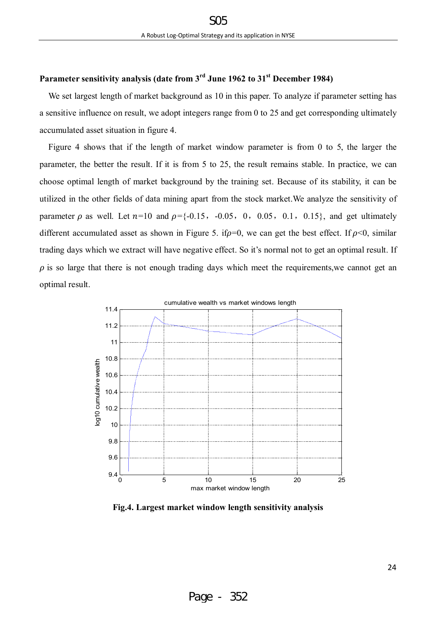# **Parameter sensitivity analysis (date from 3rd June 1962 to 31st December 1984)**

We set largest length of market background as 10 in this paper. To analyze if parameter setting has a sensitive influence on result, we adopt integers range from 0 to 25 and get corresponding ultimately accumulated asset situation in figure 4.

Figure 4 shows that if the length of market window parameter is from 0 to 5, the larger the parameter, the better the result. If it is from 5 to 25, the result remains stable. In practice, we can choose optimal length of market background by the training set. Because of its stability, it can be utilized in the other fields of data mining apart from the stock market.We analyze the sensitivity of parameter  $\rho$  as well. Let  $n=10$  and  $\rho = \{-0.15, -0.05, 0, 0.05, 0.1, 0.15\}$ , and get ultimately different accumulated asset as shown in Figure 5. if  $\rho=0$ , we can get the best effect. If  $\rho<0$ , similar trading days which we extract will have negative effect. So it's normal not to get an optimal result. If  $\rho$  is so large that there is not enough trading days which meet the requirements, we cannot get an optimal result.



**Fig.4. Largest market window length sensitivity analysis**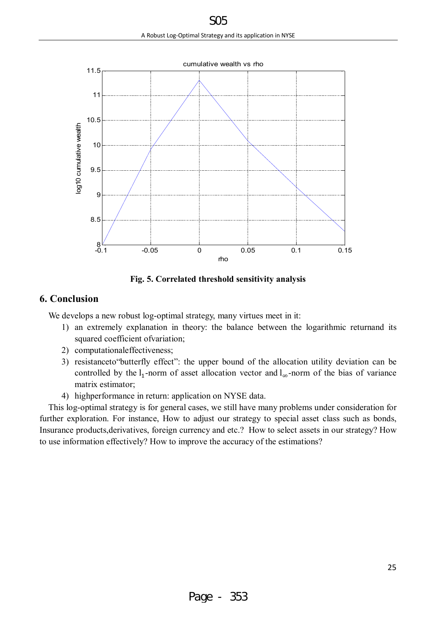

**Fig. 5. Correlated threshold sensitivity analysis** 

# **6. Conclusion**

We develops a new robust log-optimal strategy, many virtues meet in it:

- 1) an extremely explanation in theory: the balance between the logarithmic returnand its squared coefficient ofvariation;
- 2) computationaleffectiveness;
- 3) resistanceto"butterfly effect": the upper bound of the allocation utility deviation can be controlled by the  $l_1$ -norm of asset allocation vector and  $l_{\infty}$ -norm of the bias of variance matrix estimator;
- 4) highperformance in return: application on NYSE data.

This log-optimal strategy is for general cases, we still have many problems under consideration for further exploration. For instance, How to adjust our strategy to special asset class such as bonds, Insurance products,derivatives, foreign currency and etc.? How to select assets in our strategy? How to use information effectively? How to improve the accuracy of the estimations?